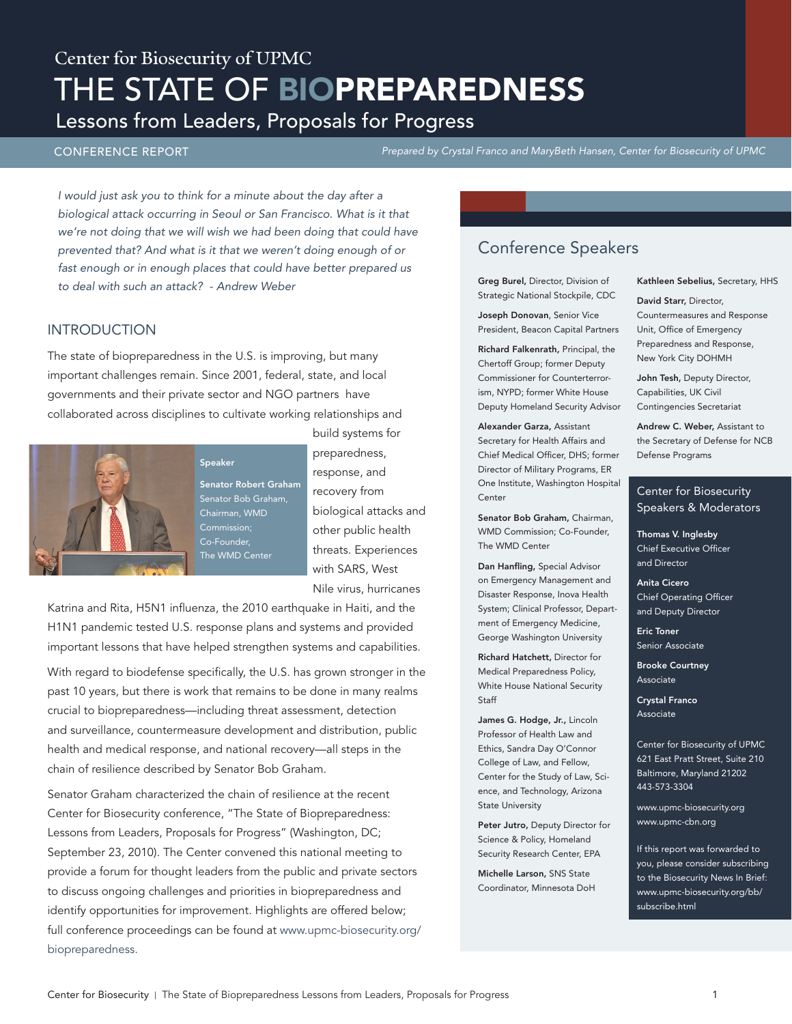# THE STATE OF BIOPREPAREDNESS Lessons from Leaders, Proposals for Progress Center for Biosecurity of UPMC

#### CONFERENCE REPORT

*Prepared by Crystal Franco and MaryBeth Hansen, Center for Biosecurity of UPMC*

*I would just ask you to think for a minute about the day after a biological attack occurring in Seoul or San Francisco. What is it that we're not doing that we will wish we had been doing that could have prevented that? And what is it that we weren't doing enough of or*  fast enough or in enough places that could have better prepared us *to deal with such an attack? - Andrew Weber* 

#### INTRODUCTION

The state of biopreparedness in the U.S. is improving, but many important challenges remain. Since 2001, federal, state, and local governments and their private sector and NGO partners have collaborated across disciplines to cultivate working relationships and



Speaker Senator Robert Graham Chairman, WMD Co-Founder, The WMD Center

build systems for preparedness, response, and recovery from biological attacks and other public health threats. Experiences with SARS, West Nile virus, hurricanes

Katrina and Rita, H5N1 influenza, the 2010 earthquake in Haiti, and the H1N1 pandemic tested U.S. response plans and systems and provided important lessons that have helped strengthen systems and capabilities.

With regard to biodefense specifically, the U.S. has grown stronger in the past 10 years, but there is work that remains to be done in many realms crucial to biopreparedness—including threat assessment, detection and surveillance, countermeasure development and distribution, public health and medical response, and national recovery—all steps in the chain of resilience described by Senator Bob Graham.

Senator Graham characterized the chain of resilience at the recent Center for Biosecurity conference, "The State of Biopreparedness: Lessons from Leaders, Proposals for Progress" (Washington, DC; September 23, 2010). The Center convened this national meeting to provide a forum for thought leaders from the public and private sectors to discuss ongoing challenges and priorities in biopreparedness and identify opportunities for improvement. Highlights are offered below; full conference proceedings can be found at [www.upmc-biosecurity.org/](http://www.upmc-biosecurity.org/biopreparedness) [biopreparedness](http://www.upmc-biosecurity.org/biopreparedness).

### Conference Speakers

Greg Burel, Director, Division of Strategic National Stockpile, CDC

Joseph Donovan, Senior Vice President, Beacon Capital Partners

Richard Falkenrath, Principal, the Chertoff Group; former Deputy Commissioner for Counterterrorism, NYPD; former White House Deputy Homeland Security Advisor

Alexander Garza, Assistant Secretary for Health Affairs and Chief Medical Officer, DHS; former Director of Military Programs, ER One Institute, Washington Hospital **Center** 

Senator Bob Graham, Chairman, WMD Commission; Co-Founder, The WMD Center

Dan Hanfling, Special Advisor on Emergency Management and Disaster Response, Inova Health System; Clinical Professor, Department of Emergency Medicine, George Washington University

Richard Hatchett, Director for Medical Preparedness Policy, White House National Security **Staff** 

James G. Hodge, Jr., Lincoln Professor of Health Law and Ethics, Sandra Day O'Connor College of Law, and Fellow, Center for the Study of Law, Science, and Technology, Arizona State University

Peter Jutro, Deputy Director for Science & Policy, Homeland Security Research Center, EPA

Michelle Larson, SNS State Coordinator, Minnesota DoH Kathleen Sebelius, Secretary, HHS

David Starr, Director, Countermeasures and Response Unit, Office of Emergency Preparedness and Response, New York City DOHMH

John Tesh, Deputy Director, Capabilities, UK Civil Contingencies Secretariat

Andrew C. Weber, Assistant to the Secretary of Defense for NCB Defense Programs

#### Center for Biosecurity Speakers & Moderators

Thomas V. Inglesby Chief Executive Officer and Director

Anita Cicero Chief Operating Officer and Deputy Director

Eric Toner Senior Associate

Brooke Courtney **Associate** 

Crystal Franco Associate

Center for Biosecurity of UPMC 621 East Pratt Street, Suite 210 Baltimore, Maryland 21202 443-573-3304

[www.upmc-biosecurity.org](http://www.upmc-biosecurity.org/index.html) [www.upmc-cbn.org](http://www.upmc-cbn.org/index.html)

If this report was forwarded to you, please consider subscribing to the Biosecurity News In Brief: [www.upmc-biosecurity.org/bb/](http://www.upmc-biosecurity.org/bb/subscribe.html) [subscribe.html](http://www.upmc-biosecurity.org/bb/subscribe.html)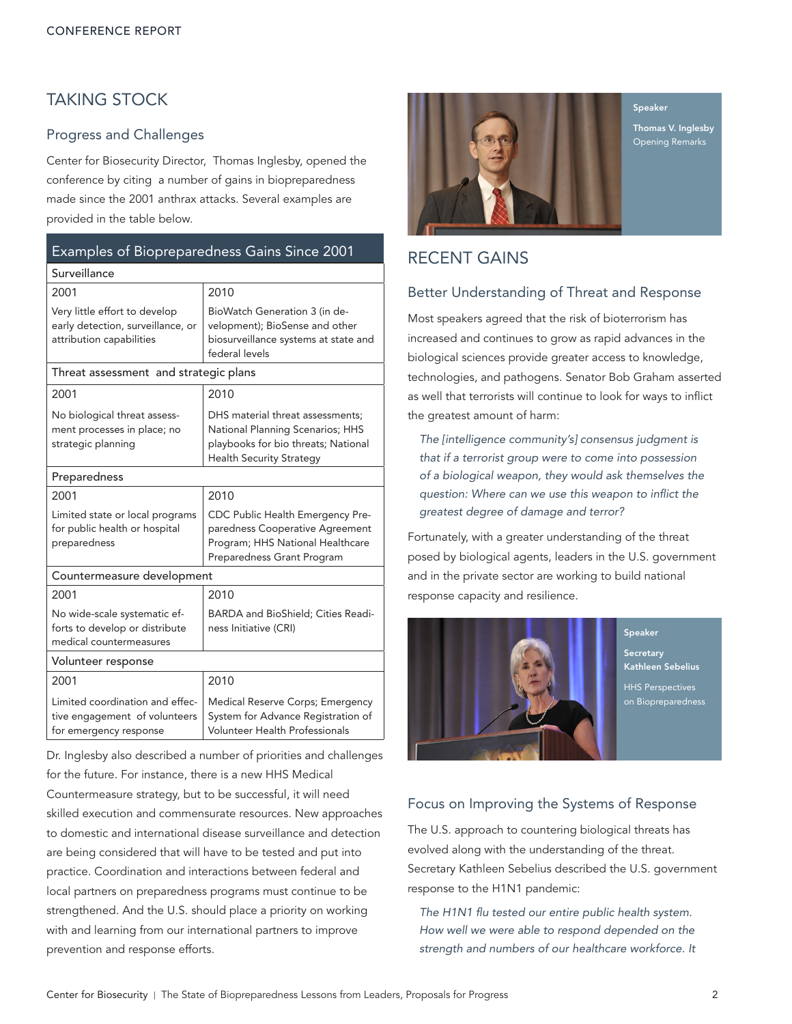# TAKING STOCK

### Progress and Challenges

Center for Biosecurity Director, Thomas Inglesby, opened the conference by citing a number of gains in biopreparedness made since the 2001 anthrax attacks. Several examples are provided in the table below.

| Examples of Biopreparedness Gains Since 2001                                                   |                                                                                                                                                |
|------------------------------------------------------------------------------------------------|------------------------------------------------------------------------------------------------------------------------------------------------|
| Surveillance                                                                                   |                                                                                                                                                |
| 2001                                                                                           | 2010                                                                                                                                           |
| Very little effort to develop<br>early detection, surveillance, or<br>attribution capabilities | BioWatch Generation 3 (in de-<br>velopment); BioSense and other<br>biosurveillance systems at state and<br>federal levels                      |
| Threat assessment and strategic plans                                                          |                                                                                                                                                |
| 2001                                                                                           | 2010                                                                                                                                           |
| No biological threat assess-<br>ment processes in place; no<br>strategic planning              | DHS material threat assessments:<br>National Planning Scenarios; HHS<br>playbooks for bio threats; National<br><b>Health Security Strategy</b> |
| Preparedness                                                                                   |                                                                                                                                                |
| 2001                                                                                           | 2010                                                                                                                                           |
| Limited state or local programs<br>for public health or hospital<br>preparedness               | CDC Public Health Emergency Pre-<br>paredness Cooperative Agreement<br>Program; HHS National Healthcare<br>Preparedness Grant Program          |
| Countermeasure development                                                                     |                                                                                                                                                |
| 2001                                                                                           | 2010                                                                                                                                           |
| No wide-scale systematic ef-<br>forts to develop or distribute<br>medical countermeasures      | BARDA and BioShield; Cities Readi-<br>ness Initiative (CRI)                                                                                    |
| Volunteer response                                                                             |                                                                                                                                                |
| 2001                                                                                           | 2010                                                                                                                                           |
| Limited coordination and effec-<br>tive engagement of volunteers<br>for emergency response     | Medical Reserve Corps; Emergency<br>System for Advance Registration of<br><b>Volunteer Health Professionals</b>                                |

Dr. Inglesby also described a number of priorities and challenges for the future. For instance, there is a new HHS Medical Countermeasure strategy, but to be successful, it will need skilled execution and commensurate resources. New approaches to domestic and international disease surveillance and detection are being considered that will have to be tested and put into practice. Coordination and interactions between federal and local partners on preparedness programs must continue to be strengthened. And the U.S. should place a priority on working with and learning from our international partners to improve prevention and response efforts.



Speaker Thomas V. Inglesby Opening Remarks

# RECENT GAINS

### Better Understanding of Threat and Response

Most speakers agreed that the risk of bioterrorism has increased and continues to grow as rapid advances in the biological sciences provide greater access to knowledge, technologies, and pathogens. Senator Bob Graham asserted as well that terrorists will continue to look for ways to inflict the greatest amount of harm:

*The [intelligence community's] consensus judgment is that if a terrorist group were to come into possession of a biological weapon, they would ask themselves the question: Where can we use this weapon to inflict the greatest degree of damage and terror?*

Fortunately, with a greater understanding of the threat posed by biological agents, leaders in the U.S. government and in the private sector are working to build national response capacity and resilience.



#### Speaker

**Secretary** Kathleen Sebelius HHS Perspectives

### Focus on Improving the Systems of Response

The U.S. approach to countering biological threats has evolved along with the understanding of the threat. Secretary Kathleen Sebelius described the U.S. government response to the H1N1 pandemic:

*The H1N1 flu tested our entire public health system. How well we were able to respond depended on the strength and numbers of our healthcare workforce. It*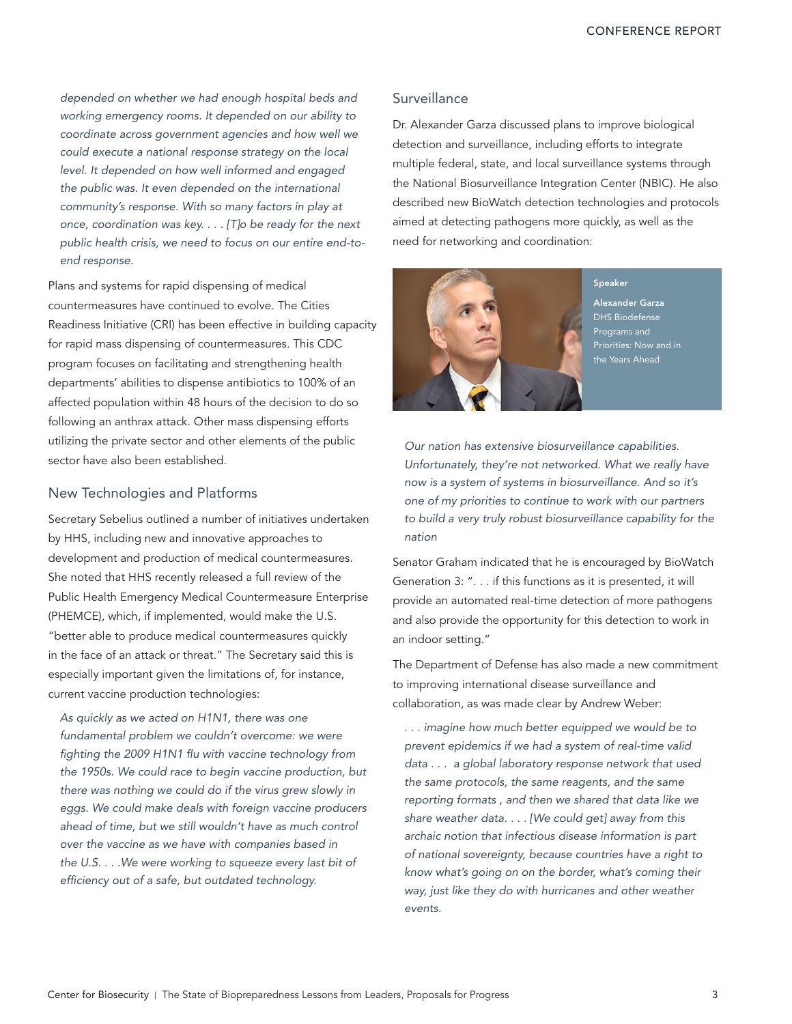*depended on whether we had enough hospital beds and working emergency rooms. It depended on our ability to coordinate across government agencies and how well we could execute a national response strategy on the local level. It depended on how well informed and engaged the public was. It even depended on the international community's response. With so many factors in play at once, coordination was key. . . . [T]o be ready for the next public health crisis, we need to focus on our entire end-toend response.*

Plans and systems for rapid dispensing of medical countermeasures have continued to evolve. The Cities Readiness Initiative (CRI) has been effective in building capacity for rapid mass dispensing of countermeasures. This CDC program focuses on facilitating and strengthening health departments' abilities to dispense antibiotics to 100% of an affected population within 48 hours of the decision to do so following an anthrax attack. Other mass dispensing efforts utilizing the private sector and other elements of the public sector have also been established.

### New Technologies and Platforms

Secretary Sebelius outlined a number of initiatives undertaken by HHS, including new and innovative approaches to development and production of medical countermeasures. She noted that HHS recently released a full review of the Public Health Emergency Medical Countermeasure Enterprise (PHEMCE), which, if implemented, would make the U.S. "better able to produce medical countermeasures quickly in the face of an attack or threat." The Secretary said this is especially important given the limitations of, for instance, current vaccine production technologies:

*As quickly as we acted on H1N1, there was one fundamental problem we couldn't overcome: we were fighting the 2009 H1N1 flu with vaccine technology from the 1950s. We could race to begin vaccine production, but there was nothing we could do if the virus grew slowly in eggs. We could make deals with foreign vaccine producers ahead of time, but we still wouldn't have as much control over the vaccine as we have with companies based in the U.S. . . .We were working to squeeze every last bit of efficiency out of a safe, but outdated technology.*

#### Surveillance

Dr. Alexander Garza discussed plans to improve biological detection and surveillance, including efforts to integrate multiple federal, state, and local surveillance systems through the National Biosurveillance Integration Center (NBIC). He also described new BioWatch detection technologies and protocols aimed at detecting pathogens more quickly, as well as the need for networking and coordination:



Speaker

Alexander Garza DHS Biodefense Programs and Priorities: Now and in the Years Ahead

*Our nation has extensive biosurveillance capabilities. Unfortunately, they're not networked. What we really have now is a system of systems in biosurveillance. And so it's one of my priorities to continue to work with our partners to build a very truly robust biosurveillance capability for the nation*

Senator Graham indicated that he is encouraged by BioWatch Generation 3: ". . . if this functions as it is presented, it will provide an automated real-time detection of more pathogens and also provide the opportunity for this detection to work in an indoor setting."

The Department of Defense has also made a new commitment to improving international disease surveillance and collaboration, as was made clear by Andrew Weber:

*. . . imagine how much better equipped we would be to prevent epidemics if we had a system of real-time valid data . . . a global laboratory response network that used the same protocols, the same reagents, and the same reporting formats , and then we shared that data like we share weather data. . . . [We could get] away from this archaic notion that infectious disease information is part of national sovereignty, because countries have a right to know what's going on on the border, what's coming their way, just like they do with hurricanes and other weather events.*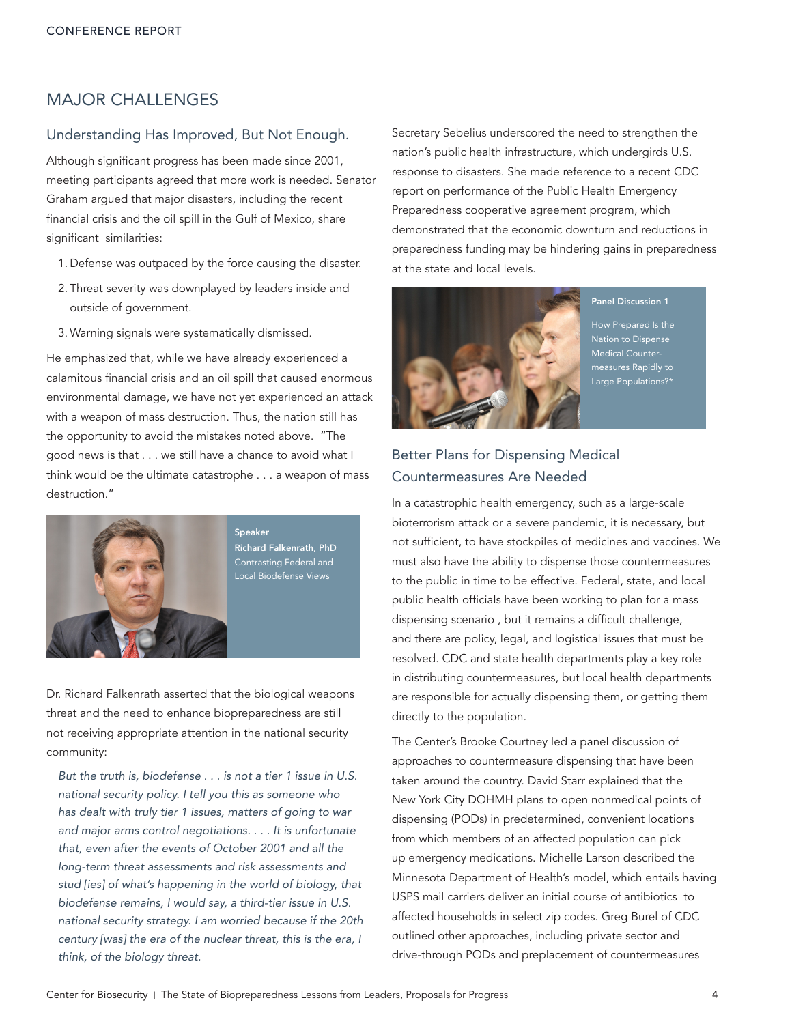### MAJOR CHALLENGES

#### Understanding Has Improved, But Not Enough.

Although significant progress has been made since 2001, meeting participants agreed that more work is needed. Senator Graham argued that major disasters, including the recent financial crisis and the oil spill in the Gulf of Mexico, share significant similarities:

- 1. Defense was outpaced by the force causing the disaster.
- 2. Threat severity was downplayed by leaders inside and outside of government.
- 3. Warning signals were systematically dismissed.

He emphasized that, while we have already experienced a calamitous financial crisis and an oil spill that caused enormous environmental damage, we have not yet experienced an attack with a weapon of mass destruction. Thus, the nation still has the opportunity to avoid the mistakes noted above. "The good news is that . . . we still have a chance to avoid what I think would be the ultimate catastrophe . . . a weapon of mass destruction."



Dr. Richard Falkenrath asserted that the biological weapons threat and the need to enhance biopreparedness are still not receiving appropriate attention in the national security community:

*But the truth is, biodefense . . . is not a tier 1 issue in U.S. national security policy. I tell you this as someone who has dealt with truly tier 1 issues, matters of going to war and major arms control negotiations. . . . It is unfortunate that, even after the events of October 2001 and all the long-term threat assessments and risk assessments and stud [ies] of what's happening in the world of biology, that biodefense remains, I would say, a third-tier issue in U.S. national security strategy. I am worried because if the 20th century [was] the era of the nuclear threat, this is the era, I think, of the biology threat.*

Secretary Sebelius underscored the need to strengthen the nation's public health infrastructure, which undergirds U.S. response to disasters. She made reference to a recent [CDC](http://emergency.cdc.gov/publications/2010phprep/)  [report](http://emergency.cdc.gov/publications/2010phprep/) on performance of the Public Health Emergency Preparedness cooperative agreement program, which demonstrated that the economic downturn and reductions in preparedness funding may be hindering gains in preparedness at the state and local levels.



Panel Discussion 1

How Prepared Is the Nation to Dispense Medical Countermeasures Rapidly to Large Populations?\*

## Better Plans for Dispensing Medical Countermeasures Are Needed

In a catastrophic health emergency, such as a large-scale bioterrorism attack or a severe pandemic, it is necessary, but not sufficient, to have stockpiles of medicines and vaccines. We must also have the ability to dispense those countermeasures to the public in time to be effective. Federal, state, and local public health officials have been working to plan for a mass dispensing scenario , but it remains a difficult challenge, and there are policy, legal, and logistical issues that must be resolved. CDC and state health departments play a key role in distributing countermeasures, but local health departments are responsible for actually dispensing them, or getting them directly to the population.

The Center's Brooke Courtney led a panel discussion of approaches to countermeasure dispensing that have been taken around the country. David Starr explained that the New York City DOHMH plans to open nonmedical points of dispensing (PODs) in predetermined, convenient locations from which members of an affected population can pick up emergency medications. Michelle Larson described the Minnesota Department of Health's model, which entails having USPS mail carriers deliver an initial course of antibiotics to affected households in select zip codes. Greg Burel of CDC outlined other approaches, including private sector and drive-through PODs and preplacement of countermeasures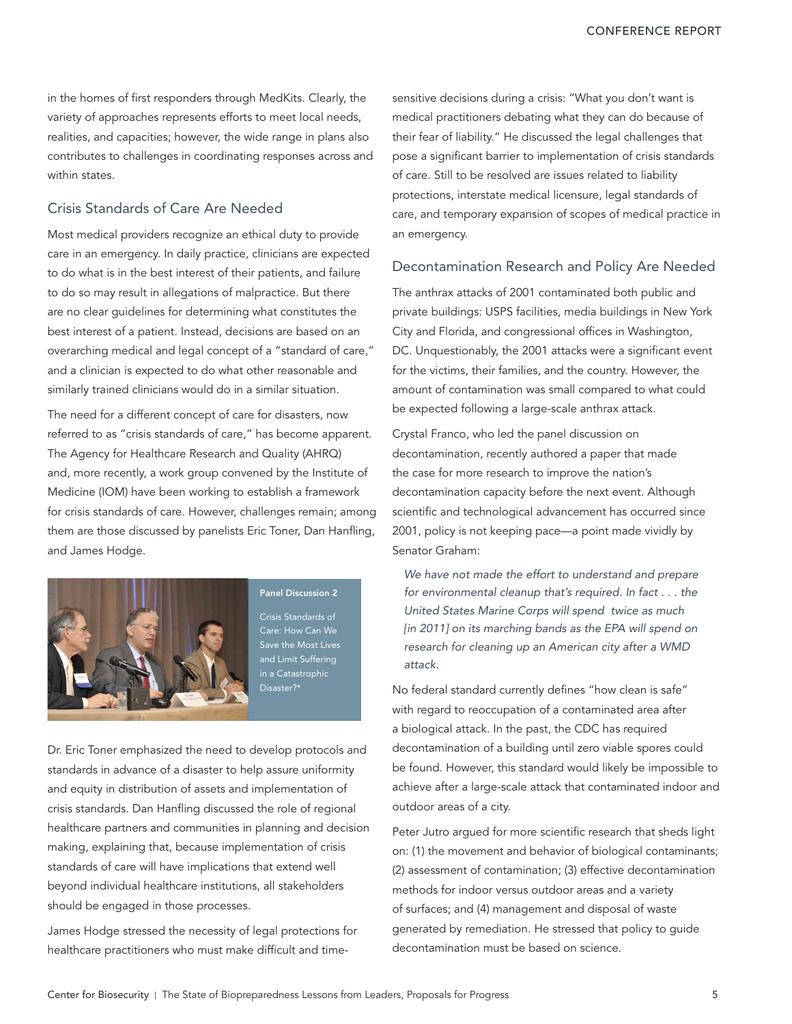in the homes of first responders through MedKits. Clearly, the variety of approaches represents efforts to meet local needs, realities, and capacities; however, the wide range in plans also contributes to challenges in coordinating responses across and within states.

### Crisis Standards of Care Are Needed

Most medical providers recognize an ethical duty to provide care in an emergency. In daily practice, clinicians are expected to do what is in the best interest of their patients, and failure to do so may result in allegations of malpractice. But there are no clear guidelines for determining what constitutes the best interest of a patient. Instead, decisions are based on an overarching medical and legal concept of a "standard of care," and a clinician is expected to do what other reasonable and similarly trained clinicians would do in a similar situation.

The need for a different concept of care for disasters, now referred to as "crisis standards of care," has become apparent. [The Agency for Healthcare Research and Quality \(AHRQ\)](http://www.ahrq.gov/research/altstand/) and, more recently, a work group convened by the [Institute of](http://www.iom.edu/Reports/2009/DisasterCareStandards.aspx)  [Medicine \(IOM\)](http://www.iom.edu/Reports/2009/DisasterCareStandards.aspx) have been working to establish a framework for crisis standards of care. However, challenges remain; among them are those discussed by panelists Eric Toner, Dan Hanfling, and James Hodge.



Crisis Standards of Care: How Can We Save the Most Lives and Limit Suffering in a Catastrophic Disaster?\*

Dr. Eric Toner emphasized the need to develop protocols and standards in advance of a disaster to help assure uniformity and equity in distribution of assets and implementation of crisis standards. Dan Hanfling discussed the role of regional healthcare partners and communities in planning and decision making, explaining that, because implementation of crisis standards of care will have implications that extend well beyond individual healthcare institutions, all stakeholders should be engaged in those processes.

James Hodge stressed the necessity of legal protections for healthcare practitioners who must make difficult and timesensitive decisions during a crisis: "What you don't want is medical practitioners debating what they can do because of their fear of liability." He discussed the legal challenges that pose a significant barrier to implementation of crisis standards of care. Still to be resolved are issues related to liability protections, interstate medical licensure, legal standards of care, and temporary expansion of scopes of medical practice in an emergency.

#### Decontamination Research and Policy Are Needed

The anthrax attacks of 2001 contaminated both public and private buildings: USPS facilities, media buildings in New York City and Florida, and congressional offices in Washington, DC. Unquestionably, the 2001 attacks were a significant event for the victims, their families, and the country. However, the amount of contamination was small compared to what could be expected following a large-scale anthrax attack.

Crystal Franco, who led the panel discussion on decontamination, recently authored a [paper](http://www.upmc-biosecurity.org/website/resources/publications/2010/2010-04-07-environmental_decontamination.html) that made the case for more research to improve the nation's decontamination capacity before the next event. Although scientific and technological advancement has occurred since 2001, policy is not keeping pace—a point made vividly by Senator Graham:

*We have not made the effort to understand and prepare for environmental cleanup that's required. In fact . . . the United States Marine Corps will spend twice as much [in 2011] on its marching bands as the EPA will spend on research for cleaning up an American city after a WMD attack.*

No federal standard currently defines "how clean is safe" with regard to reoccupation of a contaminated area after a biological attack. In the past, the CDC has required decontamination of a building until zero viable spores could be found. However, this standard would likely be impossible to achieve after a large-scale attack that contaminated indoor and outdoor areas of a city.

Peter Jutro argued for more scientific research that sheds light on: (1) the movement and behavior of biological contaminants; (2) assessment of contamination; (3) effective decontamination methods for indoor versus outdoor areas and a variety of surfaces; and (4) management and disposal of waste generated by remediation. He stressed that policy to guide decontamination must be based on science.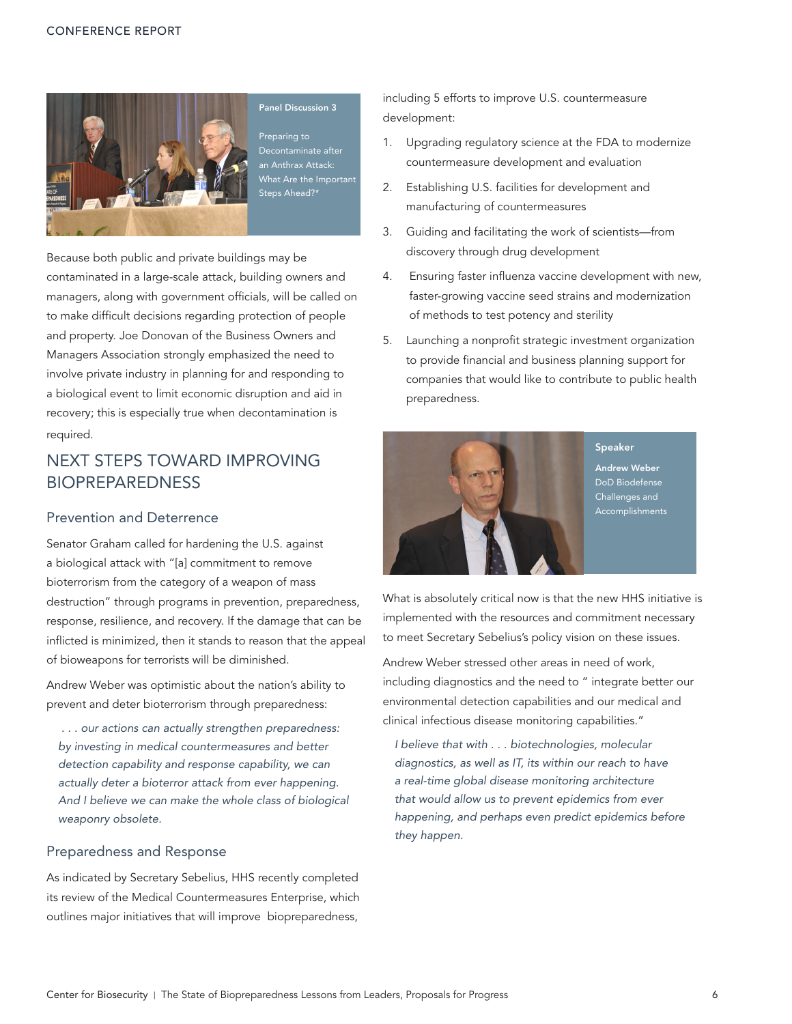

### Panel Discussion 3

Preparing to Decontaminate after an Anthrax Attack: What Are the Important Steps Ahead?\*

Because both public and private buildings may be contaminated in a large-scale attack, building owners and managers, along with government officials, will be called on to make difficult decisions regarding protection of people and property. Joe Donovan of the Business Owners and Managers Association strongly emphasized the need to involve private industry in planning for and responding to a biological event to limit economic disruption and aid in recovery; this is especially true when decontamination is required.

# NEXT STEPS TOWARD IMPROVING BIOPREPAREDNESS

### Prevention and Deterrence

Senator Graham called for hardening the U.S. against a biological attack with "[a] commitment to remove bioterrorism from the category of a weapon of mass destruction" through programs in prevention, preparedness, response, resilience, and recovery. If the damage that can be inflicted is minimized, then it stands to reason that the appeal of bioweapons for terrorists will be diminished.

Andrew Weber was optimistic about the nation's ability to prevent and deter bioterrorism through preparedness:

 *. . . our actions can actually strengthen preparedness: by investing in medical countermeasures and better detection capability and response capability, we can actually deter a bioterror attack from ever happening. And I believe we can make the whole class of biological weaponry obsolete.*

#### Preparedness and Response

As indicated by Secretary Sebelius, HHS recently completed its [review of the Medical Countermeasures Enterprise](http://www.phe.gov/Preparedness/mcm/enterprisereview/Pages/default.aspx), which outlines major initiatives that will improve biopreparedness,

including 5 efforts to improve U.S. countermeasure development:

- 1. Upgrading regulatory science at the FDA to modernize countermeasure development and evaluation
- 2. Establishing U.S. facilities for development and manufacturing of countermeasures
- 3. Guiding and facilitating the work of scientists—from discovery through drug development
- 4. Ensuring faster influenza vaccine development with new, faster-growing vaccine seed strains and modernization of methods to test potency and sterility
- 5. Launching a nonprofit strategic investment organization to provide financial and business planning support for companies that would like to contribute to public health preparedness.



Speaker

Andrew Weber DoD Biodefense Challenges and Accomplishments

What is absolutely critical now is that the new HHS initiative is implemented with the resources and commitment necessary to meet Secretary Sebelius's policy vision on these issues.

Andrew Weber stressed other areas in need of work, including diagnostics and the need to " integrate better our environmental detection capabilities and our medical and clinical infectious disease monitoring capabilities."

*I believe that with . . . biotechnologies, molecular diagnostics, as well as IT, its within our reach to have a real-time global disease monitoring architecture that would allow us to prevent epidemics from ever happening, and perhaps even predict epidemics before they happen.*